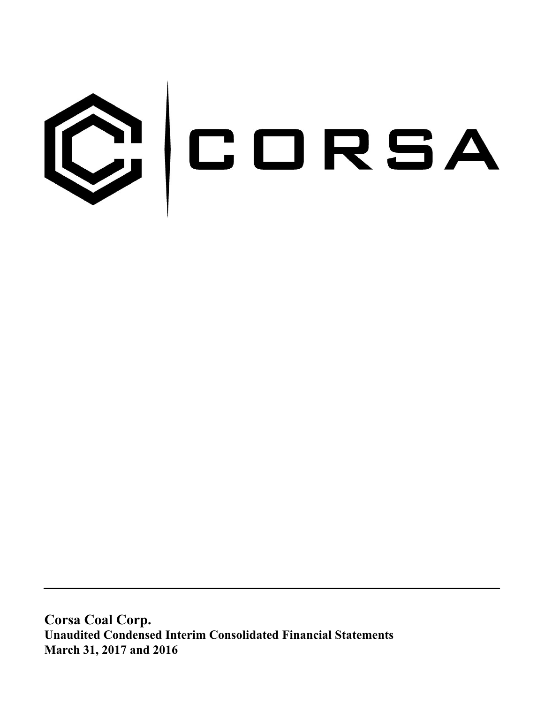

**Corsa Coal Corp. Unaudited Condensed Interim Consolidated Financial Statements March 31, 2017 and 2016**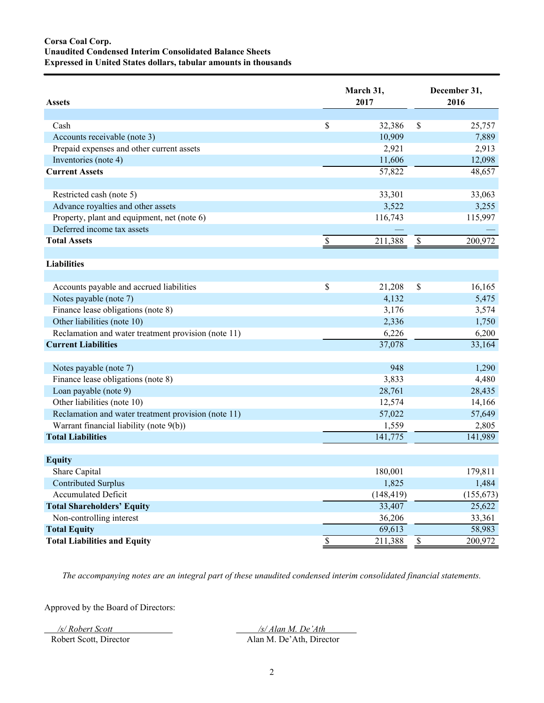# **Corsa Coal Corp. Unaudited Condensed Interim Consolidated Balance Sheets Expressed in United States dollars, tabular amounts in thousands**

| <b>Assets</b>                                       |                          | March 31,<br>2017 | December 31,<br>2016 |            |  |
|-----------------------------------------------------|--------------------------|-------------------|----------------------|------------|--|
|                                                     |                          |                   |                      |            |  |
| Cash                                                | \$                       | 32,386            | \$                   | 25,757     |  |
| Accounts receivable (note 3)                        |                          | 10,909            |                      | 7,889      |  |
| Prepaid expenses and other current assets           |                          | 2,921             |                      | 2,913      |  |
| Inventories (note 4)                                |                          | 11,606            |                      | 12,098     |  |
| <b>Current Assets</b>                               |                          | 57,822            |                      | 48,657     |  |
| Restricted cash (note 5)                            |                          | 33,301            |                      | 33,063     |  |
| Advance royalties and other assets                  |                          | 3,522             |                      | 3,255      |  |
| Property, plant and equipment, net (note 6)         |                          | 116,743           |                      | 115,997    |  |
| Deferred income tax assets                          |                          |                   |                      |            |  |
| <b>Total Assets</b>                                 | $\overline{\mathcal{S}}$ | 211,388           | $\mathbb{S}$         | 200,972    |  |
| <b>Liabilities</b>                                  |                          |                   |                      |            |  |
|                                                     |                          |                   |                      |            |  |
| Accounts payable and accrued liabilities            | \$                       | 21,208            | $\mathbb S$          | 16,165     |  |
| Notes payable (note 7)                              |                          | 4,132             |                      | 5,475      |  |
| Finance lease obligations (note 8)                  |                          | 3,176             |                      | 3,574      |  |
| Other liabilities (note 10)                         |                          | 2,336             |                      | 1,750      |  |
| Reclamation and water treatment provision (note 11) |                          | 6,226             |                      | 6,200      |  |
| <b>Current Liabilities</b>                          |                          | 37,078            |                      | 33,164     |  |
|                                                     |                          |                   |                      |            |  |
| Notes payable (note 7)                              |                          | 948               |                      | 1,290      |  |
| Finance lease obligations (note 8)                  |                          | 3,833             |                      | 4,480      |  |
| Loan payable (note 9)                               |                          | 28,761            |                      | 28,435     |  |
| Other liabilities (note 10)                         |                          | 12,574            |                      | 14,166     |  |
| Reclamation and water treatment provision (note 11) |                          | 57,022            |                      | 57,649     |  |
| Warrant financial liability (note 9(b))             |                          | 1,559             |                      | 2,805      |  |
| <b>Total Liabilities</b>                            |                          | 141,775           |                      | 141,989    |  |
| <b>Equity</b>                                       |                          |                   |                      |            |  |
| Share Capital                                       |                          | 180,001           |                      | 179,811    |  |
| <b>Contributed Surplus</b>                          |                          | 1,825             |                      | 1,484      |  |
| <b>Accumulated Deficit</b>                          |                          | (148, 419)        |                      | (155, 673) |  |
| <b>Total Shareholders' Equity</b>                   |                          | 33,407            |                      | 25,622     |  |
| Non-controlling interest                            |                          | 36,206            |                      | 33,361     |  |
| <b>Total Equity</b>                                 |                          | 69,613            |                      | 58,983     |  |
| <b>Total Liabilities and Equity</b>                 | $\overline{\mathcal{E}}$ | 211,388           | $\sqrt{\frac{2}{5}}$ | 200,972    |  |

*The accompanying notes are an integral part of these unaudited condensed interim consolidated financial statements.*

Approved by the Board of Directors:

*/s/ Robert Scott /s/ Alan M. De'Ath*  Robert Scott, Director Alan M. De'Ath, Director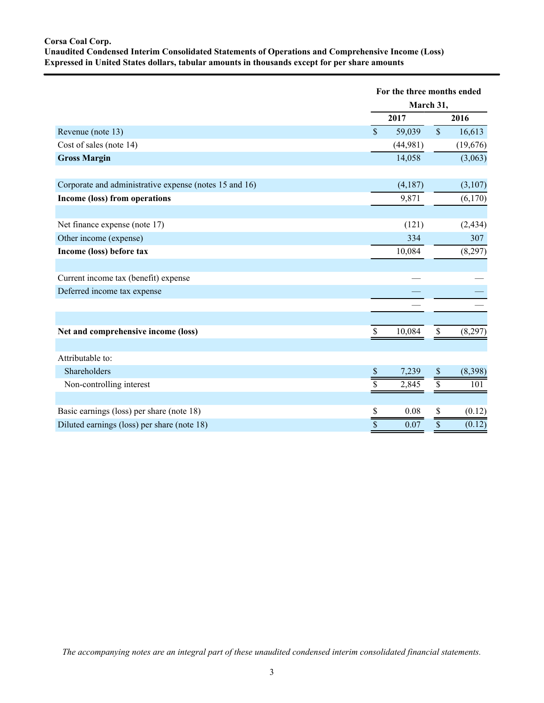# **Corsa Coal Corp. Unaudited Condensed Interim Consolidated Statements of Operations and Comprehensive Income (Loss) Expressed in United States dollars, tabular amounts in thousands except for per share amounts**

|                                                        |                         | For the three months ended<br>March 31, |
|--------------------------------------------------------|-------------------------|-----------------------------------------|
|                                                        | 2017                    | 2016                                    |
| Revenue (note 13)                                      | $\mathsf{\$}$<br>59,039 | $\sqrt{\ }$<br>16,613                   |
| Cost of sales (note 14)                                | (44,981)                | (19,676)                                |
| <b>Gross Margin</b>                                    | 14,058                  | (3,063)                                 |
|                                                        |                         |                                         |
| Corporate and administrative expense (notes 15 and 16) | (4,187)                 | (3,107)                                 |
| Income (loss) from operations                          | 9,871                   | (6,170)                                 |
|                                                        |                         |                                         |
| Net finance expense (note 17)                          | (121)                   | (2, 434)                                |
| Other income (expense)                                 | 334                     | 307                                     |
| Income (loss) before tax                               | 10,084                  | (8,297)                                 |
|                                                        |                         |                                         |
| Current income tax (benefit) expense                   |                         |                                         |
| Deferred income tax expense                            |                         |                                         |
|                                                        |                         |                                         |
|                                                        |                         |                                         |
| Net and comprehensive income (loss)                    | \$<br>10,084            | \$<br>(8,297)                           |
|                                                        |                         |                                         |
| Attributable to:                                       |                         |                                         |
| Shareholders                                           | 7,239<br>S              | (8,398)<br>\$                           |
| Non-controlling interest                               | \$<br>2,845             | 101                                     |
|                                                        |                         |                                         |
| Basic earnings (loss) per share (note 18)              | \$<br>0.08              | (0.12)<br>\$                            |
| Diluted earnings (loss) per share (note 18)            | $\overline{\$}$<br>0.07 | $\overline{\$}$<br>(0.12)               |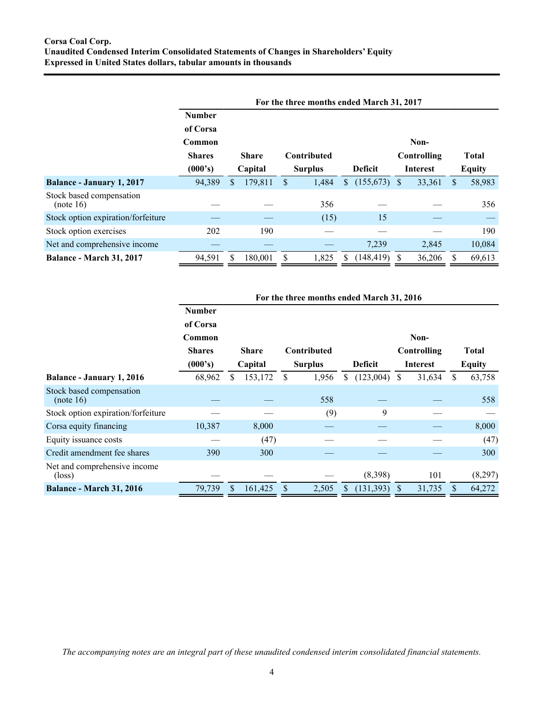|                                       | For the three months ended March 31, 2017 |    |                                    |                |       |                |                                |              |                               |              |        |
|---------------------------------------|-------------------------------------------|----|------------------------------------|----------------|-------|----------------|--------------------------------|--------------|-------------------------------|--------------|--------|
|                                       | <b>Number</b>                             |    |                                    |                |       |                |                                |              |                               |              |        |
|                                       | of Corsa                                  |    |                                    |                |       |                |                                |              |                               |              |        |
|                                       | Common                                    |    |                                    |                |       |                |                                |              | Non-                          |              |        |
|                                       | <b>Shares</b>                             |    | <b>Contributed</b><br><b>Share</b> |                |       |                | Controlling<br><b>Interest</b> |              | <b>Total</b><br><b>Equity</b> |              |        |
|                                       | (000's)                                   |    | Capital                            | <b>Surplus</b> |       | <b>Deficit</b> |                                |              |                               |              |        |
| <b>Balance - January 1, 2017</b>      | 94,389                                    | \$ | 179,811                            | \$             | 1,484 | \$             | (155,673)                      | <sup>S</sup> | 33,361                        | <sup>S</sup> | 58,983 |
| Stock based compensation<br>(note 16) |                                           |    |                                    |                | 356   |                |                                |              |                               |              | 356    |
| Stock option expiration/forfeiture    |                                           |    |                                    |                | (15)  |                | 15                             |              |                               |              |        |
| Stock option exercises                | 202                                       |    | 190                                |                |       |                |                                |              |                               |              | 190    |
| Net and comprehensive income          |                                           |    |                                    |                |       |                | 7,239                          |              | 2,845                         |              | 10,084 |
| <b>Balance - March 31, 2017</b>       | 94,591                                    |    | 180,001                            | <b>S</b>       | 1,825 |                | (148, 419)                     |              | 36,206                        |              | 69,613 |

|                                                 |               | For the three months ended March 31, 2016 |                           |    |             |                |                 |             |               |     |              |
|-------------------------------------------------|---------------|-------------------------------------------|---------------------------|----|-------------|----------------|-----------------|-------------|---------------|-----|--------------|
|                                                 | <b>Number</b> |                                           |                           |    |             |                |                 |             |               |     |              |
|                                                 | of Corsa      |                                           |                           |    |             |                |                 |             |               |     |              |
|                                                 | Common        |                                           |                           |    |             |                |                 |             | Non-          |     |              |
|                                                 | <b>Shares</b> |                                           | <b>Share</b>              |    | Contributed |                |                 | Controlling |               |     | <b>Total</b> |
|                                                 | (000's)       |                                           | Capital<br><b>Surplus</b> |    |             | <b>Deficit</b> | <b>Interest</b> |             | <b>Equity</b> |     |              |
| <b>Balance - January 1, 2016</b>                | 68,962        | S                                         | 153,172                   | S  | 1,956       | S.             | (123,004)       | S.          | 31,634        | S   | 63,758       |
| Stock based compensation<br>(note 16)           |               |                                           |                           |    | 558         |                |                 |             |               |     | 558          |
| Stock option expiration/forfeiture              |               |                                           |                           |    | (9)         |                | 9               |             |               |     |              |
| Corsa equity financing                          | 10,387        |                                           | 8,000                     |    |             |                |                 |             |               |     | 8,000        |
| Equity issuance costs                           |               |                                           | (47)                      |    |             |                |                 |             |               |     | (47)         |
| Credit amendment fee shares                     | 390           |                                           | 300                       |    |             |                |                 |             |               |     | 300          |
| Net and comprehensive income<br>$(\text{loss})$ |               |                                           |                           |    |             |                | (8,398)         |             | 101           |     | (8,297)      |
| <b>Balance - March 31, 2016</b>                 | 79,739        | S.                                        | 161,425                   | \$ | 2,505       |                | (131, 393)      | S           | 31,735        | \$. | 64,272       |

*The accompanying notes are an integral part of these unaudited condensed interim consolidated financial statements.*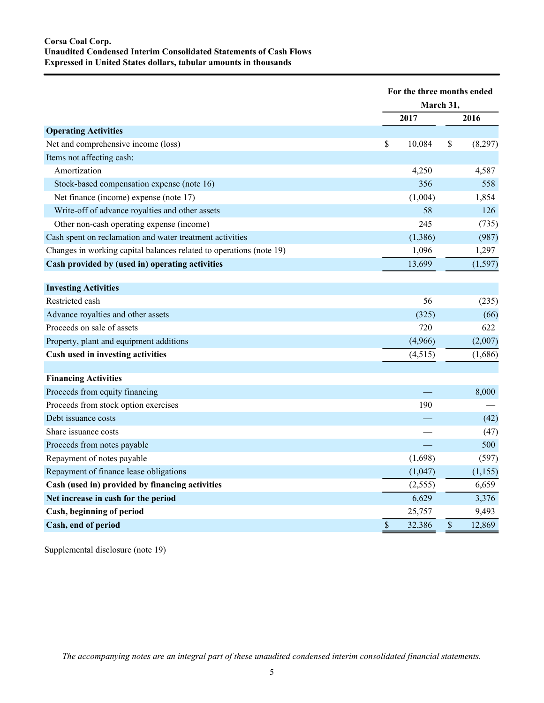|                                                                     | For the three months ended<br>March 31, |               |          |
|---------------------------------------------------------------------|-----------------------------------------|---------------|----------|
|                                                                     | 2017                                    |               | 2016     |
| <b>Operating Activities</b>                                         |                                         |               |          |
| Net and comprehensive income (loss)                                 | \$<br>10,084                            | \$            | (8,297)  |
| Items not affecting cash:                                           |                                         |               |          |
| Amortization                                                        | 4,250                                   |               | 4,587    |
| Stock-based compensation expense (note 16)                          | 356                                     |               | 558      |
| Net finance (income) expense (note 17)                              | (1,004)                                 |               | 1,854    |
| Write-off of advance royalties and other assets                     | 58                                      |               | 126      |
| Other non-cash operating expense (income)                           | 245                                     |               | (735)    |
| Cash spent on reclamation and water treatment activities            | (1,386)                                 |               | (987)    |
| Changes in working capital balances related to operations (note 19) | 1,096                                   |               | 1,297    |
| Cash provided by (used in) operating activities                     | 13,699                                  |               | (1, 597) |
|                                                                     |                                         |               |          |
| <b>Investing Activities</b>                                         |                                         |               |          |
| Restricted cash                                                     | 56                                      |               | (235)    |
| Advance royalties and other assets                                  | (325)                                   |               | (66)     |
| Proceeds on sale of assets                                          | 720                                     |               | 622      |
| Property, plant and equipment additions                             | (4,966)                                 |               | (2,007)  |
| Cash used in investing activities                                   | (4, 515)                                |               | (1,686)  |
|                                                                     |                                         |               |          |
| <b>Financing Activities</b>                                         |                                         |               |          |
| Proceeds from equity financing                                      |                                         |               | 8,000    |
| Proceeds from stock option exercises                                | 190                                     |               |          |
| Debt issuance costs                                                 |                                         |               | (42)     |
| Share issuance costs                                                |                                         |               | (47)     |
| Proceeds from notes payable                                         |                                         |               | 500      |
| Repayment of notes payable                                          | (1,698)                                 |               | (597)    |
| Repayment of finance lease obligations                              | (1,047)                                 |               | (1, 155) |
| Cash (used in) provided by financing activities                     | (2, 555)                                |               | 6,659    |
| Net increase in cash for the period                                 | 6,629                                   |               | 3,376    |
| Cash, beginning of period                                           | 25,757                                  |               | 9,493    |
| Cash, end of period                                                 | \$<br>32,386                            | $\mathcal{S}$ | 12,869   |

Supplemental disclosure (note 19)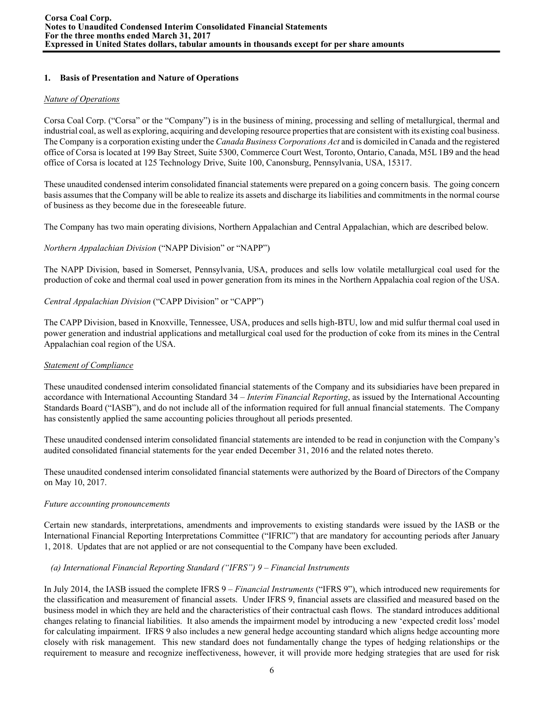# **1. Basis of Presentation and Nature of Operations**

# *Nature of Operations*

Corsa Coal Corp. ("Corsa" or the "Company") is in the business of mining, processing and selling of metallurgical, thermal and industrial coal, as well as exploring, acquiring and developing resource properties that are consistent with its existing coal business. The Company is a corporation existing under the *Canada Business Corporations Act* and is domiciled in Canada and the registered office of Corsa is located at 199 Bay Street, Suite 5300, Commerce Court West, Toronto, Ontario, Canada, M5L 1B9 and the head office of Corsa is located at 125 Technology Drive, Suite 100, Canonsburg, Pennsylvania, USA, 15317.

These unaudited condensed interim consolidated financial statements were prepared on a going concern basis. The going concern basis assumes that the Company will be able to realize its assets and discharge its liabilities and commitments in the normal course of business as they become due in the foreseeable future.

The Company has two main operating divisions, Northern Appalachian and Central Appalachian, which are described below.

*Northern Appalachian Division* ("NAPP Division" or "NAPP")

The NAPP Division, based in Somerset, Pennsylvania, USA, produces and sells low volatile metallurgical coal used for the production of coke and thermal coal used in power generation from its mines in the Northern Appalachia coal region of the USA.

*Central Appalachian Division* ("CAPP Division" or "CAPP")

The CAPP Division, based in Knoxville, Tennessee, USA, produces and sells high-BTU, low and mid sulfur thermal coal used in power generation and industrial applications and metallurgical coal used for the production of coke from its mines in the Central Appalachian coal region of the USA.

## *Statement of Compliance*

These unaudited condensed interim consolidated financial statements of the Company and its subsidiaries have been prepared in accordance with International Accounting Standard 34 – *Interim Financial Reporting*, as issued by the International Accounting Standards Board ("IASB"), and do not include all of the information required for full annual financial statements. The Company has consistently applied the same accounting policies throughout all periods presented.

These unaudited condensed interim consolidated financial statements are intended to be read in conjunction with the Company's audited consolidated financial statements for the year ended December 31, 2016 and the related notes thereto.

These unaudited condensed interim consolidated financial statements were authorized by the Board of Directors of the Company on May 10, 2017.

## *Future accounting pronouncements*

Certain new standards, interpretations, amendments and improvements to existing standards were issued by the IASB or the International Financial Reporting Interpretations Committee ("IFRIC") that are mandatory for accounting periods after January 1, 2018. Updates that are not applied or are not consequential to the Company have been excluded.

# *(a) International Financial Reporting Standard ("IFRS") 9 – Financial Instruments*

In July 2014, the IASB issued the complete IFRS 9 – *Financial Instruments* ("IFRS 9"), which introduced new requirements for the classification and measurement of financial assets. Under IFRS 9, financial assets are classified and measured based on the business model in which they are held and the characteristics of their contractual cash flows. The standard introduces additional changes relating to financial liabilities. It also amends the impairment model by introducing a new 'expected credit loss' model for calculating impairment. IFRS 9 also includes a new general hedge accounting standard which aligns hedge accounting more closely with risk management. This new standard does not fundamentally change the types of hedging relationships or the requirement to measure and recognize ineffectiveness, however, it will provide more hedging strategies that are used for risk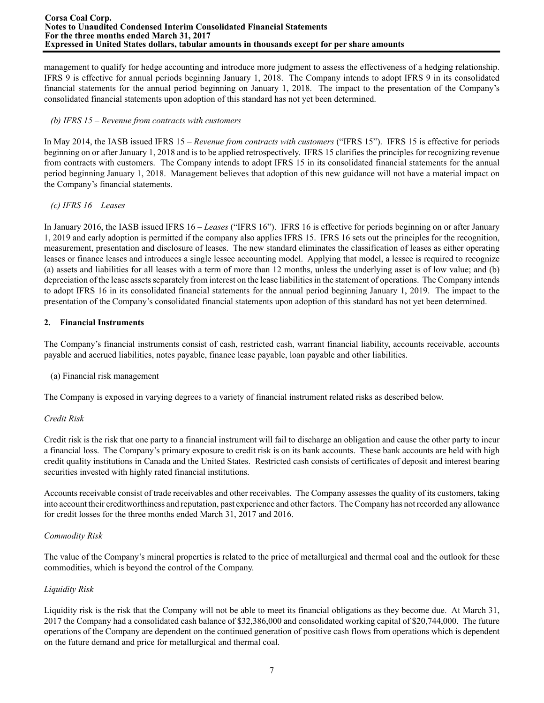#### **Corsa Coal Corp. Notes to Unaudited Condensed Interim Consolidated Financial Statements For the three months ended March 31, 2017 Expressed in United States dollars, tabular amounts in thousands except for per share amounts**

management to qualify for hedge accounting and introduce more judgment to assess the effectiveness of a hedging relationship. IFRS 9 is effective for annual periods beginning January 1, 2018. The Company intends to adopt IFRS 9 in its consolidated financial statements for the annual period beginning on January 1, 2018. The impact to the presentation of the Company's consolidated financial statements upon adoption of this standard has not yet been determined.

# *(b) IFRS 15 – Revenue from contracts with customers*

In May 2014, the IASB issued IFRS 15 – *Revenue from contracts with customers* ("IFRS 15"). IFRS 15 is effective for periods beginning on or after January 1, 2018 and is to be applied retrospectively. IFRS 15 clarifies the principles for recognizing revenue from contracts with customers. The Company intends to adopt IFRS 15 in its consolidated financial statements for the annual period beginning January 1, 2018. Management believes that adoption of this new guidance will not have a material impact on the Company's financial statements.

# *(c) IFRS 16 – Leases*

In January 2016, the IASB issued IFRS 16 – *Leases* ("IFRS 16"). IFRS 16 is effective for periods beginning on or after January 1, 2019 and early adoption is permitted if the company also applies IFRS 15. IFRS 16 sets out the principles for the recognition, measurement, presentation and disclosure of leases. The new standard eliminates the classification of leases as either operating leases or finance leases and introduces a single lessee accounting model. Applying that model, a lessee is required to recognize (a) assets and liabilities for all leases with a term of more than 12 months, unless the underlying asset is of low value; and (b) depreciation of the lease assets separately from interest on the lease liabilities in the statement of operations. The Company intends to adopt IFRS 16 in its consolidated financial statements for the annual period beginning January 1, 2019. The impact to the presentation of the Company's consolidated financial statements upon adoption of this standard has not yet been determined.

# **2. Financial Instruments**

The Company's financial instruments consist of cash, restricted cash, warrant financial liability, accounts receivable, accounts payable and accrued liabilities, notes payable, finance lease payable, loan payable and other liabilities.

## (a) Financial risk management

The Company is exposed in varying degrees to a variety of financial instrument related risks as described below.

## *Credit Risk*

Credit risk is the risk that one party to a financial instrument will fail to discharge an obligation and cause the other party to incur a financial loss. The Company's primary exposure to credit risk is on its bank accounts. These bank accounts are held with high credit quality institutions in Canada and the United States. Restricted cash consists of certificates of deposit and interest bearing securities invested with highly rated financial institutions.

Accounts receivable consist of trade receivables and other receivables. The Company assesses the quality of its customers, taking into account their creditworthiness and reputation, past experience and other factors. The Company has not recorded any allowance for credit losses for the three months ended March 31, 2017 and 2016.

## *Commodity Risk*

The value of the Company's mineral properties is related to the price of metallurgical and thermal coal and the outlook for these commodities, which is beyond the control of the Company.

# *Liquidity Risk*

Liquidity risk is the risk that the Company will not be able to meet its financial obligations as they become due. At March 31, 2017 the Company had a consolidated cash balance of \$32,386,000 and consolidated working capital of \$20,744,000. The future operations of the Company are dependent on the continued generation of positive cash flows from operations which is dependent on the future demand and price for metallurgical and thermal coal.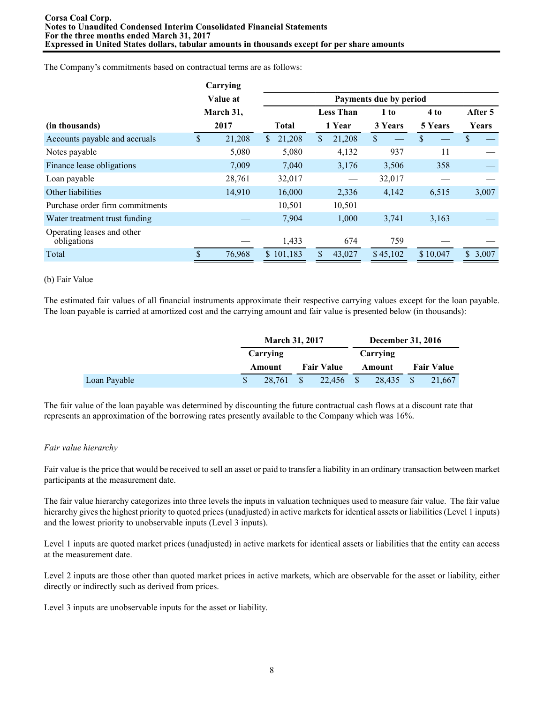The Company's commitments based on contractual terms are as follows:

|                                           |     | Carrying  |                        |               |                  |          |                |         |  |  |  |  |
|-------------------------------------------|-----|-----------|------------------------|---------------|------------------|----------|----------------|---------|--|--|--|--|
|                                           |     | Value at  | Payments due by period |               |                  |          |                |         |  |  |  |  |
|                                           |     | March 31, |                        |               | <b>Less Than</b> | 1 to     | 4 to           | After 5 |  |  |  |  |
| (in thousands)                            |     | 2017      | <b>Total</b>           |               | 1 Year           | 3 Years  | <b>5 Years</b> | Years   |  |  |  |  |
| Accounts payable and accruals             | \$. | 21,208    | 21,208<br>$\mathbb{S}$ | <sup>\$</sup> | 21,208           | \$       | \$             |         |  |  |  |  |
| Notes payable                             |     | 5,080     | 5,080                  |               | 4,132            | 937      | 11             |         |  |  |  |  |
| Finance lease obligations                 |     | 7,009     | 7,040                  |               | 3,176            | 3,506    | 358            |         |  |  |  |  |
| Loan payable                              |     | 28,761    | 32,017                 |               |                  | 32,017   |                |         |  |  |  |  |
| Other liabilities                         |     | 14,910    | 16,000                 |               | 2,336            | 4,142    | 6,515          | 3,007   |  |  |  |  |
| Purchase order firm commitments           |     |           | 10,501                 |               | 10,501           |          |                |         |  |  |  |  |
| Water treatment trust funding             |     |           | 7,904                  |               | 1,000            | 3,741    | 3,163          |         |  |  |  |  |
| Operating leases and other<br>obligations |     |           | 1,433                  |               | 674              | 759      |                |         |  |  |  |  |
| Total                                     |     | 76,968    | \$101,183              |               | 43,027           | \$45,102 | \$10,047       | \$3,007 |  |  |  |  |

#### (b) Fair Value

The estimated fair values of all financial instruments approximate their respective carrying values except for the loan payable. The loan payable is carried at amortized cost and the carrying amount and fair value is presented below (in thousands):

|              | <b>March 31, 2017</b> |  |                   | <b>December 31, 2016</b> |          |      |                   |
|--------------|-----------------------|--|-------------------|--------------------------|----------|------|-------------------|
|              | Carrying              |  |                   |                          | Carrying |      |                   |
|              | Amount                |  | <b>Fair Value</b> |                          | Amount   |      | <b>Fair Value</b> |
| Loan Payable | 28.761                |  | 22.456 \$         |                          | 28.435   | - \$ | 21.667            |

The fair value of the loan payable was determined by discounting the future contractual cash flows at a discount rate that represents an approximation of the borrowing rates presently available to the Company which was 16%.

## *Fair value hierarchy*

Fair value is the price that would be received to sell an asset or paid to transfer a liability in an ordinary transaction between market participants at the measurement date.

The fair value hierarchy categorizes into three levels the inputs in valuation techniques used to measure fair value. The fair value hierarchy gives the highest priority to quoted prices (unadjusted) in active markets for identical assets or liabilities (Level 1 inputs) and the lowest priority to unobservable inputs (Level 3 inputs).

Level 1 inputs are quoted market prices (unadjusted) in active markets for identical assets or liabilities that the entity can access at the measurement date.

Level 2 inputs are those other than quoted market prices in active markets, which are observable for the asset or liability, either directly or indirectly such as derived from prices.

Level 3 inputs are unobservable inputs for the asset or liability.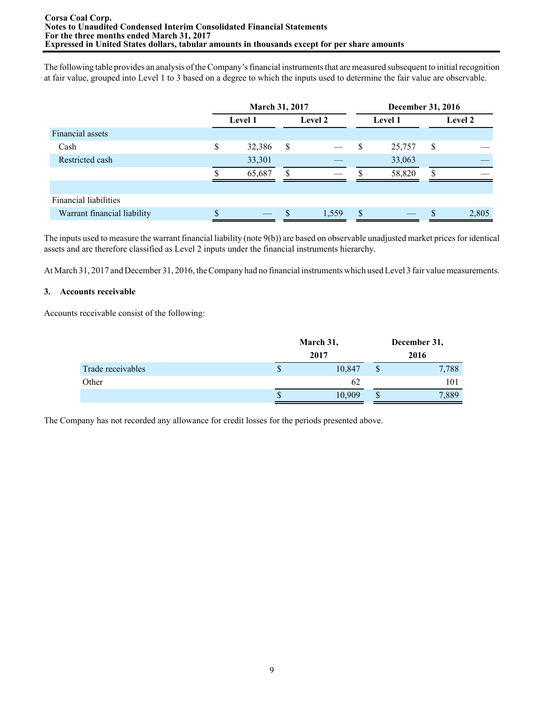The following table provides an analysis of the Company's financial instruments that are measured subsequent to initial recognition at fair value, grouped into Level 1 to 3 based on a degree to which the inputs used to determine the fair value are observable.

|                             | <b>March 31, 2017</b> |    |         |                           | December 31, 2016 |    |                |  |  |
|-----------------------------|-----------------------|----|---------|---------------------------|-------------------|----|----------------|--|--|
|                             | Level 1               |    | Level 2 |                           | Level 1           |    | <b>Level 2</b> |  |  |
| Financial assets            |                       |    |         |                           |                   |    |                |  |  |
| Cash                        | \$<br>32,386          | \$ |         | $\boldsymbol{\mathsf{S}}$ | 25,757            | \$ |                |  |  |
| Restricted cash             | 33,301                |    |         |                           | 33,063            |    |                |  |  |
|                             | 65,687                | \$ |         |                           | 58,820            |    |                |  |  |
|                             |                       |    |         |                           |                   |    |                |  |  |
| Financial liabilities       |                       |    |         |                           |                   |    |                |  |  |
| Warrant financial liability |                       |    | 1,559   | \$                        |                   |    | 2,805          |  |  |

The inputs used to measure the warrant financial liability (note 9(b)) are based on observable unadjusted market prices for identical assets and are therefore classified as Level 2 inputs under the financial instruments hierarchy.

At March 31, 2017 and December 31, 2016, the Company had no financial instruments which used Level 3 fair value measurements.

### **3. Accounts receivable**

Accounts receivable consist of the following:

|                   | March 31, |        | December 31, |       |  |
|-------------------|-----------|--------|--------------|-------|--|
|                   |           | 2017   |              | 2016  |  |
| Trade receivables | P         | 10,847 | \$           | 7,788 |  |
| Other             |           | 62     |              | 101   |  |
|                   | ъ         | 10,909 | P            | 1,889 |  |

The Company has not recorded any allowance for credit losses for the periods presented above.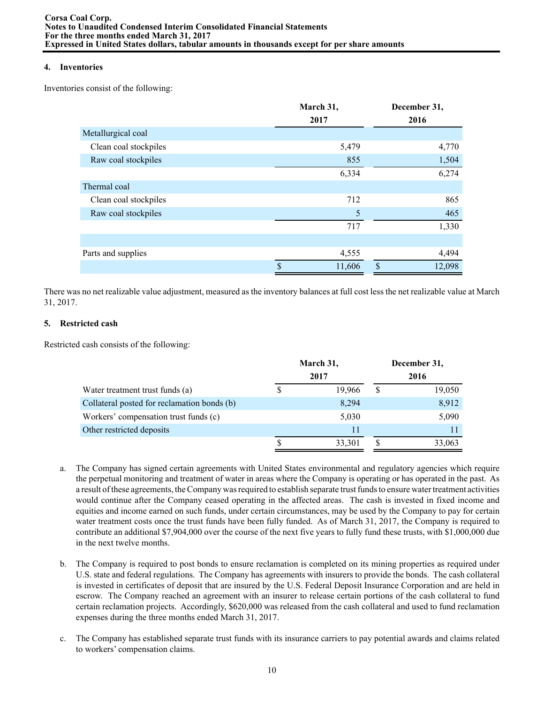### **4. Inventories**

Inventories consist of the following:

|                       | March 31,    | December 31, |
|-----------------------|--------------|--------------|
|                       | 2017         | 2016         |
| Metallurgical coal    |              |              |
| Clean coal stockpiles | 5,479        | 4,770        |
| Raw coal stockpiles   | 855          | 1,504        |
|                       | 6,334        | 6,274        |
| Thermal coal          |              |              |
| Clean coal stockpiles | 712          | 865          |
| Raw coal stockpiles   | 5            | 465          |
|                       | 717          | 1,330        |
|                       |              |              |
| Parts and supplies    | 4,555        | 4,494        |
|                       | \$<br>11,606 | \$<br>12,098 |

There was no net realizable value adjustment, measured as the inventory balances at full cost less the net realizable value at March 31, 2017.

## **5. Restricted cash**

Restricted cash consists of the following:

|                                             | March 31, |        |      | December 31, |  |  |
|---------------------------------------------|-----------|--------|------|--------------|--|--|
|                                             |           | 2017   | 2016 |              |  |  |
| Water treatment trust funds (a)             |           | 19,966 | S    | 19,050       |  |  |
| Collateral posted for reclamation bonds (b) |           | 8,294  |      | 8,912        |  |  |
| Workers' compensation trust funds (c)       |           | 5,030  |      | 5,090        |  |  |
| Other restricted deposits                   |           | 11     |      |              |  |  |
|                                             |           | 33,301 | \$   | 33,063       |  |  |

- a. The Company has signed certain agreements with United States environmental and regulatory agencies which require the perpetual monitoring and treatment of water in areas where the Company is operating or has operated in the past. As a result of these agreements, the Company was required to establish separate trust funds to ensure water treatment activities would continue after the Company ceased operating in the affected areas. The cash is invested in fixed income and equities and income earned on such funds, under certain circumstances, may be used by the Company to pay for certain water treatment costs once the trust funds have been fully funded. As of March 31, 2017, the Company is required to contribute an additional \$7,904,000 over the course of the next five years to fully fund these trusts, with \$1,000,000 due in the next twelve months.
- b. The Company is required to post bonds to ensure reclamation is completed on its mining properties as required under U.S. state and federal regulations. The Company has agreements with insurers to provide the bonds. The cash collateral is invested in certificates of deposit that are insured by the U.S. Federal Deposit Insurance Corporation and are held in escrow. The Company reached an agreement with an insurer to release certain portions of the cash collateral to fund certain reclamation projects. Accordingly, \$620,000 was released from the cash collateral and used to fund reclamation expenses during the three months ended March 31, 2017.
- c. The Company has established separate trust funds with its insurance carriers to pay potential awards and claims related to workers' compensation claims.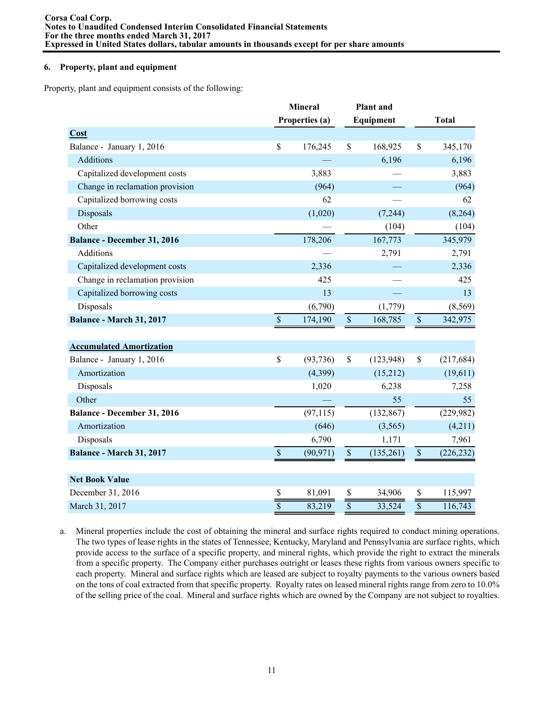### **6. Property, plant and equipment**

Property, plant and equipment consists of the following:

|                                    |                         | <b>Mineral</b><br><b>Plant</b> and |                 |            |              |              |
|------------------------------------|-------------------------|------------------------------------|-----------------|------------|--------------|--------------|
|                                    |                         | Properties (a)                     |                 | Equipment  |              | <b>Total</b> |
| Cost                               |                         |                                    |                 |            |              |              |
| Balance - January 1, 2016          | \$                      | 176,245                            | \$              | 168,925    | \$           | 345,170      |
| Additions                          |                         |                                    |                 | 6,196      |              | 6,196        |
| Capitalized development costs      |                         | 3,883                              |                 |            |              | 3,883        |
| Change in reclamation provision    |                         | (964)                              |                 |            |              | (964)        |
| Capitalized borrowing costs        |                         | 62                                 |                 |            |              | 62           |
| Disposals                          |                         | (1,020)                            |                 | (7,244)    |              | (8,264)      |
| Other                              |                         |                                    |                 | (104)      |              | (104)        |
| <b>Balance - December 31, 2016</b> |                         | 178,206                            |                 | 167,773    |              | 345,979      |
| Additions                          |                         |                                    |                 | 2,791      |              | 2,791        |
| Capitalized development costs      |                         | 2,336                              |                 |            |              | 2,336        |
| Change in reclamation provision    |                         | 425                                |                 |            |              | 425          |
| Capitalized borrowing costs        |                         | 13                                 |                 |            |              | 13           |
| Disposals                          |                         | (6,790)                            |                 | (1,779)    |              | (8, 569)     |
| <b>Balance - March 31, 2017</b>    | $\mathbb{S}$            | 174,190                            | $\mathbb S$     | 168,785    | $\mathbb S$  | 342,975      |
|                                    |                         |                                    |                 |            |              |              |
| <b>Accumulated Amortization</b>    |                         |                                    |                 |            |              |              |
| Balance - January 1, 2016          | \$                      | (93, 736)                          | \$              | (123, 948) | \$           | (217, 684)   |
| Amortization                       |                         | (4,399)                            |                 | (15,212)   |              | (19,611)     |
| Disposals                          |                         | 1,020                              |                 | 6,238      |              | 7,258        |
| Other                              |                         |                                    |                 | 55         |              | 55           |
| Balance - December 31, 2016        |                         | (97, 115)                          |                 | (132, 867) |              | (229, 982)   |
| Amortization                       |                         | (646)                              |                 | (3,565)    |              | (4,211)      |
| Disposals                          |                         | 6,790                              |                 | 1,171      |              | 7,961        |
| Balance - March 31, 2017           | $\mathbb{S}$            | (90, 971)                          | $\sqrt{\ }$     | (135,261)  | $\mathbb{S}$ | (226, 232)   |
|                                    |                         |                                    |                 |            |              |              |
| <b>Net Book Value</b>              |                         |                                    |                 |            |              |              |
| December 31, 2016                  | \$                      | 81,091                             | \$              | 34,906     | \$           | 115,997      |
| March 31, 2017                     | $\overline{\mathbb{S}}$ | 83,219                             | $\overline{\$}$ | 33,524     |              | 116,743      |

a. Mineral properties include the cost of obtaining the mineral and surface rights required to conduct mining operations. The two types of lease rights in the states of Tennessee, Kentucky, Maryland and Pennsylvania are surface rights, which provide access to the surface of a specific property, and mineral rights, which provide the right to extract the minerals from a specific property. The Company either purchases outright or leases these rights from various owners specific to each property. Mineral and surface rights which are leased are subject to royalty payments to the various owners based on the tons of coal extracted from that specific property. Royalty rates on leased mineral rights range from zero to 10.0% of the selling price of the coal. Mineral and surface rights which are owned by the Company are not subject to royalties.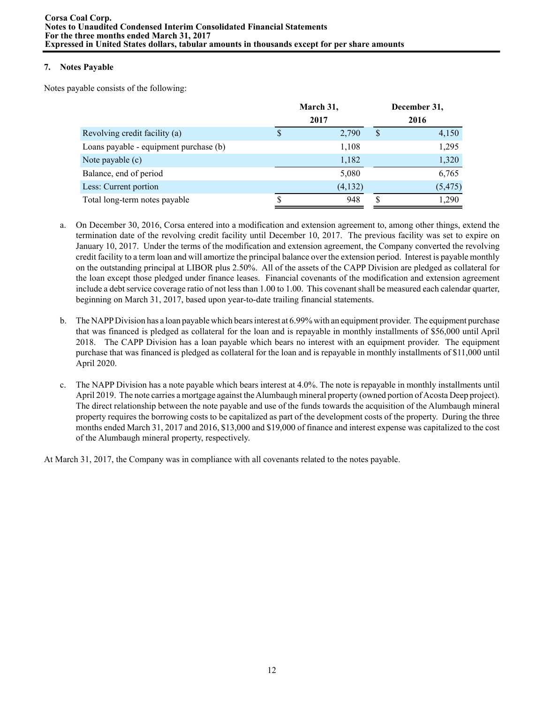## **7. Notes Payable**

Notes payable consists of the following:

|                                        | March 31, |         | December 31, |          |  |
|----------------------------------------|-----------|---------|--------------|----------|--|
|                                        | 2017      |         |              | 2016     |  |
| Revolving credit facility (a)          |           | 2,790   | \$           | 4,150    |  |
| Loans payable - equipment purchase (b) |           | 1,108   |              | 1,295    |  |
| Note payable (c)                       |           | 1,182   |              | 1,320    |  |
| Balance, end of period                 |           | 5,080   |              | 6,765    |  |
| Less: Current portion                  |           | (4,132) |              | (5, 475) |  |
| Total long-term notes payable          |           | 948     | S            | 1,290    |  |

- a. On December 30, 2016, Corsa entered into a modification and extension agreement to, among other things, extend the termination date of the revolving credit facility until December 10, 2017. The previous facility was set to expire on January 10, 2017. Under the terms of the modification and extension agreement, the Company converted the revolving credit facility to a term loan and will amortize the principal balance over the extension period. Interest is payable monthly on the outstanding principal at LIBOR plus 2.50%. All of the assets of the CAPP Division are pledged as collateral for the loan except those pledged under finance leases. Financial covenants of the modification and extension agreement include a debt service coverage ratio of not less than 1.00 to 1.00. This covenant shall be measured each calendar quarter, beginning on March 31, 2017, based upon year-to-date trailing financial statements.
- b. The NAPPDivision has a loan payable which bears interest at 6.99% with an equipment provider. The equipment purchase that was financed is pledged as collateral for the loan and is repayable in monthly installments of \$56,000 until April 2018. The CAPP Division has a loan payable which bears no interest with an equipment provider. The equipment purchase that was financed is pledged as collateral for the loan and is repayable in monthly installments of \$11,000 until April 2020.
- c. The NAPP Division has a note payable which bears interest at 4.0%. The note is repayable in monthly installments until April 2019. The note carries a mortgage against the Alumbaugh mineral property (owned portion of Acosta Deep project). The direct relationship between the note payable and use of the funds towards the acquisition of the Alumbaugh mineral property requires the borrowing costs to be capitalized as part of the development costs of the property. During the three months ended March 31, 2017 and 2016, \$13,000 and \$19,000 of finance and interest expense was capitalized to the cost of the Alumbaugh mineral property, respectively.

At March 31, 2017, the Company was in compliance with all covenants related to the notes payable.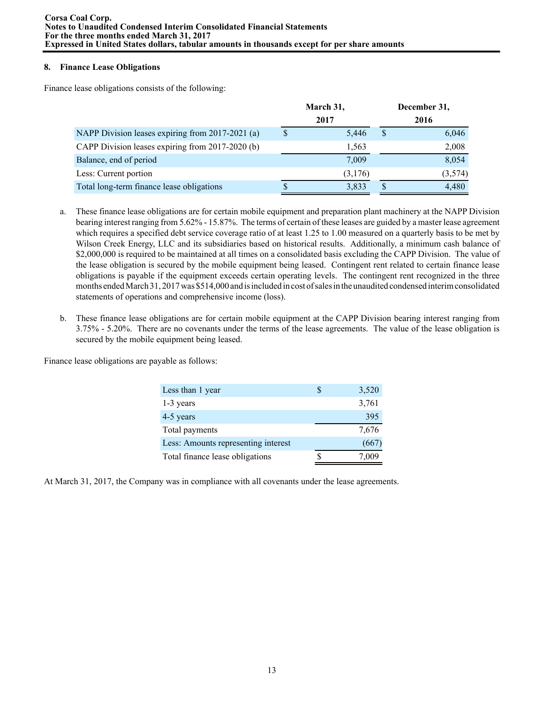### **8. Finance Lease Obligations**

Finance lease obligations consists of the following:

|                                                  | March 31, |         |              | December 31, |
|--------------------------------------------------|-----------|---------|--------------|--------------|
|                                                  |           | 2017    |              | 2016         |
| NAPP Division leases expiring from 2017-2021 (a) |           | 5,446   | <sup>S</sup> | 6,046        |
| CAPP Division leases expiring from 2017-2020 (b) |           | 1,563   |              | 2,008        |
| Balance, end of period                           |           | 7,009   |              | 8,054        |
| Less: Current portion                            |           | (3,176) |              | (3,574)      |
| Total long-term finance lease obligations        |           | 3,833   | -S           | 4,480        |

- a. These finance lease obligations are for certain mobile equipment and preparation plant machinery at the NAPP Division bearing interest ranging from 5.62% - 15.87%. The terms of certain of these leases are guided by a master lease agreement which requires a specified debt service coverage ratio of at least 1.25 to 1.00 measured on a quarterly basis to be met by Wilson Creek Energy, LLC and its subsidiaries based on historical results. Additionally, a minimum cash balance of \$2,000,000 is required to be maintained at all times on a consolidated basis excluding the CAPP Division. The value of the lease obligation is secured by the mobile equipment being leased. Contingent rent related to certain finance lease obligations is payable if the equipment exceeds certain operating levels. The contingent rent recognized in the three months ended March 31, 2017 was \$514,000 and is included in cost of sales in the unaudited condensed interim consolidated statements of operations and comprehensive income (loss).
- b. These finance lease obligations are for certain mobile equipment at the CAPP Division bearing interest ranging from 3.75% - 5.20%. There are no covenants under the terms of the lease agreements. The value of the lease obligation is secured by the mobile equipment being leased.

Finance lease obligations are payable as follows:

| Less than 1 year                    | 3,520 |
|-------------------------------------|-------|
| 1-3 years                           | 3,761 |
| 4-5 years                           | 395   |
| Total payments                      | 7,676 |
| Less: Amounts representing interest | (667) |
| Total finance lease obligations     | 7.009 |

At March 31, 2017, the Company was in compliance with all covenants under the lease agreements.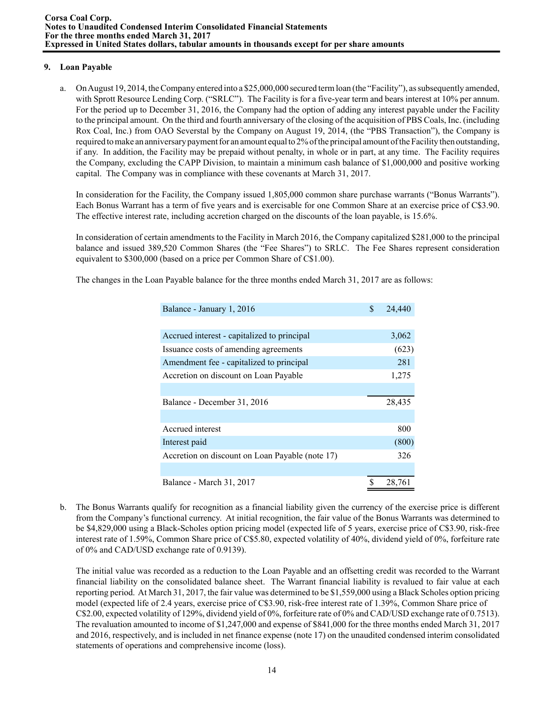## **9. Loan Payable**

a. On August 19, 2014, the Company entered into a \$25,000,000 secured term loan (the "Facility"), as subsequently amended, with Sprott Resource Lending Corp. ("SRLC"). The Facility is for a five-year term and bears interest at 10% per annum. For the period up to December 31, 2016, the Company had the option of adding any interest payable under the Facility to the principal amount. On the third and fourth anniversary of the closing of the acquisition of PBS Coals, Inc. (including Rox Coal, Inc.) from OAO Severstal by the Company on August 19, 2014, (the "PBS Transaction"), the Company is required to make an anniversary payment for an amount equal to 2% of the principal amount of the Facility then outstanding, if any. In addition, the Facility may be prepaid without penalty, in whole or in part, at any time. The Facility requires the Company, excluding the CAPP Division, to maintain a minimum cash balance of \$1,000,000 and positive working capital. The Company was in compliance with these covenants at March 31, 2017.

In consideration for the Facility, the Company issued 1,805,000 common share purchase warrants ("Bonus Warrants"). Each Bonus Warrant has a term of five years and is exercisable for one Common Share at an exercise price of C\$3.90. The effective interest rate, including accretion charged on the discounts of the loan payable, is 15.6%.

In consideration of certain amendments to the Facility in March 2016, the Company capitalized \$281,000 to the principal balance and issued 389,520 Common Shares (the "Fee Shares") to SRLC. The Fee Shares represent consideration equivalent to \$300,000 (based on a price per Common Share of C\$1.00).

| Balance - January 1, 2016                       | \$<br>24,440 |
|-------------------------------------------------|--------------|
|                                                 |              |
| Accrued interest - capitalized to principal     | 3,062        |
| Issuance costs of amending agreements           | (623)        |
| Amendment fee - capitalized to principal        | 281          |
| Accretion on discount on Loan Payable           | 1,275        |
|                                                 |              |
| Balance - December 31, 2016                     | 28,435       |
|                                                 |              |
| Accrued interest                                | 800          |
| Interest paid                                   | (800)        |
| Accretion on discount on Loan Payable (note 17) | 326          |
|                                                 |              |
| Balance - March 31, 2017                        | 28,761       |

The changes in the Loan Payable balance for the three months ended March 31, 2017 are as follows:

b. The Bonus Warrants qualify for recognition as a financial liability given the currency of the exercise price is different from the Company's functional currency. At initial recognition, the fair value of the Bonus Warrants was determined to be \$4,829,000 using a Black-Scholes option pricing model (expected life of 5 years, exercise price of C\$3.90, risk-free interest rate of 1.59%, Common Share price of C\$5.80, expected volatility of 40%, dividend yield of 0%, forfeiture rate of 0% and CAD/USD exchange rate of 0.9139).

The initial value was recorded as a reduction to the Loan Payable and an offsetting credit was recorded to the Warrant financial liability on the consolidated balance sheet. The Warrant financial liability is revalued to fair value at each reporting period. At March 31, 2017, the fair value was determined to be \$1,559,000 using a Black Scholes option pricing model (expected life of 2.4 years, exercise price of C\$3.90, risk-free interest rate of 1.39%, Common Share price of C\$2.00, expected volatility of 129%, dividend yield of 0%, forfeiture rate of 0% and CAD/USD exchange rate of 0.7513). The revaluation amounted to income of \$1,247,000 and expense of \$841,000 for the three months ended March 31, 2017 and 2016, respectively, and is included in net finance expense (note 17) on the unaudited condensed interim consolidated statements of operations and comprehensive income (loss).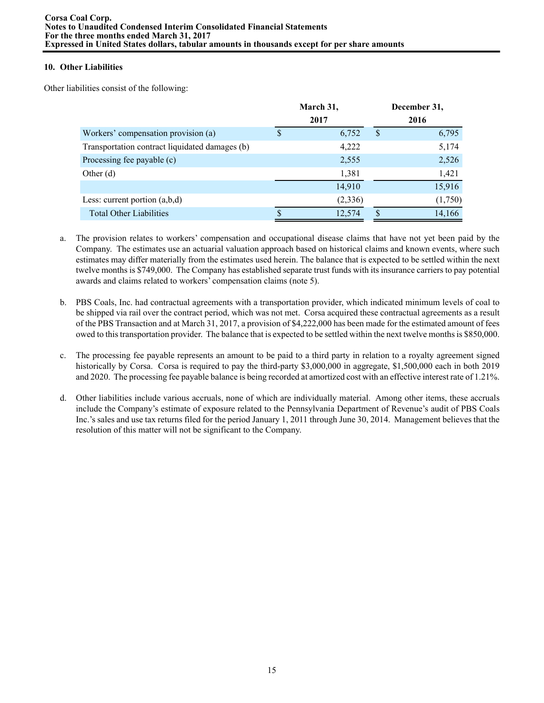## **10. Other Liabilities**

Other liabilities consist of the following:

| March 31, |          |    | December 31, |
|-----------|----------|----|--------------|
|           | 2017     |    | 2016         |
| S         | 6,752    | \$ | 6,795        |
|           | 4,222    |    | 5,174        |
|           | 2,555    |    | 2,526        |
|           | 1,381    |    | 1,421        |
|           | 14,910   |    | 15,916       |
|           | (2, 336) |    | (1,750)      |
|           | 12,574   | S  | 14,166       |
|           |          |    |              |

- a. The provision relates to workers' compensation and occupational disease claims that have not yet been paid by the Company. The estimates use an actuarial valuation approach based on historical claims and known events, where such estimates may differ materially from the estimates used herein. The balance that is expected to be settled within the next twelve months is \$749,000. The Company has established separate trust funds with its insurance carriers to pay potential awards and claims related to workers' compensation claims (note 5).
- b. PBS Coals, Inc. had contractual agreements with a transportation provider, which indicated minimum levels of coal to be shipped via rail over the contract period, which was not met. Corsa acquired these contractual agreements as a result of the PBS Transaction and at March 31, 2017, a provision of \$4,222,000 has been made for the estimated amount of fees owed to this transportation provider. The balance that is expected to be settled within the next twelve months is \$850,000.
- c. The processing fee payable represents an amount to be paid to a third party in relation to a royalty agreement signed historically by Corsa. Corsa is required to pay the third-party \$3,000,000 in aggregate, \$1,500,000 each in both 2019 and 2020. The processing fee payable balance is being recorded at amortized cost with an effective interest rate of 1.21%.
- d. Other liabilities include various accruals, none of which are individually material. Among other items, these accruals include the Company's estimate of exposure related to the Pennsylvania Department of Revenue's audit of PBS Coals Inc.'s sales and use tax returns filed for the period January 1, 2011 through June 30, 2014. Management believes that the resolution of this matter will not be significant to the Company.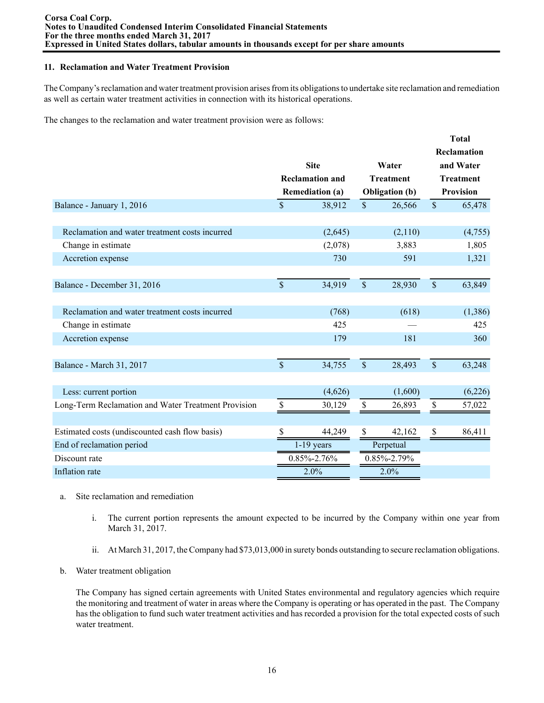### **11. Reclamation and Water Treatment Provision**

The Company's reclamation and water treatment provision arises from its obligations to undertake site reclamation and remediation as well as certain water treatment activities in connection with its historical operations.

The changes to the reclamation and water treatment provision were as follows:

|                                                     |                    |                        |                    |                       |               | <b>Total</b>             |
|-----------------------------------------------------|--------------------|------------------------|--------------------|-----------------------|---------------|--------------------------|
|                                                     |                    | <b>Site</b>            |                    | Water                 |               | Reclamation<br>and Water |
|                                                     |                    | <b>Reclamation and</b> |                    | <b>Treatment</b>      |               | <b>Treatment</b>         |
|                                                     |                    | <b>Remediation (a)</b> |                    | <b>Obligation</b> (b) |               | <b>Provision</b>         |
| Balance - January 1, 2016                           | $\mathbf{\hat{S}}$ | 38,912                 | $\mathsf{\$}$      | 26,566                | $\mathsf{\$}$ | 65,478                   |
|                                                     |                    |                        |                    |                       |               |                          |
| Reclamation and water treatment costs incurred      |                    | (2,645)                |                    | (2,110)               |               | (4,755)                  |
| Change in estimate                                  |                    | (2,078)                |                    | 3,883                 |               | 1,805                    |
| Accretion expense                                   |                    | 730                    |                    | 591                   |               | 1,321                    |
|                                                     |                    |                        |                    |                       |               |                          |
| Balance - December 31, 2016                         | $\mathbb{S}$       | 34,919                 | $\sqrt{\ }$        | 28,930                | $\mathsf{\$}$ | 63,849                   |
|                                                     |                    |                        |                    |                       |               |                          |
| Reclamation and water treatment costs incurred      |                    | (768)                  |                    | (618)                 |               | (1,386)                  |
| Change in estimate                                  |                    | 425                    |                    |                       |               | 425                      |
| Accretion expense                                   |                    | 179                    |                    | 181                   |               | 360                      |
|                                                     |                    |                        |                    |                       |               |                          |
| Balance - March 31, 2017                            | $\mathbf{\hat{S}}$ | 34,755                 | $\mathbf{\hat{S}}$ | 28,493                | $\mathsf{\$}$ | 63,248                   |
|                                                     |                    |                        |                    |                       |               |                          |
| Less: current portion                               |                    | (4,626)                |                    | (1,600)               |               | (6,226)                  |
| Long-Term Reclamation and Water Treatment Provision | \$                 | 30,129                 | \$                 | 26,893                | \$            | 57,022                   |
|                                                     |                    |                        |                    |                       |               |                          |
| Estimated costs (undiscounted cash flow basis)      | \$                 | 44,249                 | \$                 | 42,162                | \$            | 86,411                   |
| End of reclamation period                           |                    | $1-19$ years           |                    | Perpetual             |               |                          |
| Discount rate                                       |                    | 0.85%-2.76%            |                    | 0.85%-2.79%           |               |                          |
| Inflation rate                                      |                    | 2.0%                   |                    | 2.0%                  |               |                          |

- a. Site reclamation and remediation
	- i. The current portion represents the amount expected to be incurred by the Company within one year from March 31, 2017.
	- ii. At March 31, 2017, the Company had \$73,013,000 in surety bonds outstanding to secure reclamation obligations.
- b. Water treatment obligation

The Company has signed certain agreements with United States environmental and regulatory agencies which require the monitoring and treatment of water in areas where the Company is operating or has operated in the past. The Company has the obligation to fund such water treatment activities and has recorded a provision for the total expected costs of such water treatment.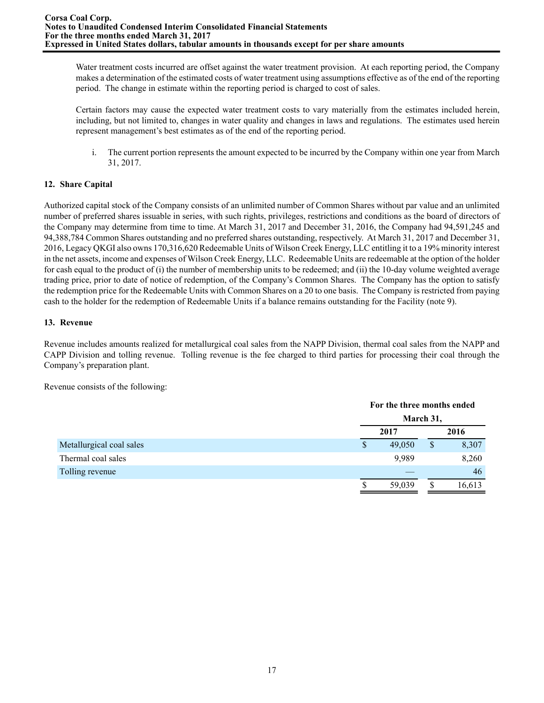Water treatment costs incurred are offset against the water treatment provision. At each reporting period, the Company makes a determination of the estimated costs of water treatment using assumptions effective as of the end of the reporting period. The change in estimate within the reporting period is charged to cost of sales.

Certain factors may cause the expected water treatment costs to vary materially from the estimates included herein, including, but not limited to, changes in water quality and changes in laws and regulations. The estimates used herein represent management's best estimates as of the end of the reporting period.

i. The current portion represents the amount expected to be incurred by the Company within one year from March 31, 2017.

# **12. Share Capital**

Authorized capital stock of the Company consists of an unlimited number of Common Shares without par value and an unlimited number of preferred shares issuable in series, with such rights, privileges, restrictions and conditions as the board of directors of the Company may determine from time to time. At March 31, 2017 and December 31, 2016, the Company had 94,591,245 and 94,388,784 Common Shares outstanding and no preferred shares outstanding, respectively. At March 31, 2017 and December 31, 2016, Legacy QKGI also owns 170,316,620 Redeemable Units of Wilson Creek Energy, LLC entitling it to a 19% minority interest in the net assets, income and expenses of Wilson Creek Energy, LLC. Redeemable Units are redeemable at the option of the holder for cash equal to the product of (i) the number of membership units to be redeemed; and (ii) the 10-day volume weighted average trading price, prior to date of notice of redemption, of the Company's Common Shares. The Company has the option to satisfy the redemption price for the Redeemable Units with Common Shares on a 20 to one basis. The Company is restricted from paying cash to the holder for the redemption of Redeemable Units if a balance remains outstanding for the Facility (note 9).

## **13. Revenue**

Revenue includes amounts realized for metallurgical coal sales from the NAPP Division, thermal coal sales from the NAPP and CAPP Division and tolling revenue. Tolling revenue is the fee charged to third parties for processing their coal through the Company's preparation plant.

Revenue consists of the following:

|                          |   | For the three months ended |    |        |
|--------------------------|---|----------------------------|----|--------|
|                          |   | March 31,                  |    |        |
|                          |   | 2017                       |    | 2016   |
| Metallurgical coal sales | S | 49,050                     | \$ | 8,307  |
| Thermal coal sales       |   | 9,989                      |    | 8,260  |
| Tolling revenue          |   |                            |    | 46     |
|                          | D | 59,039                     | S  | 16,613 |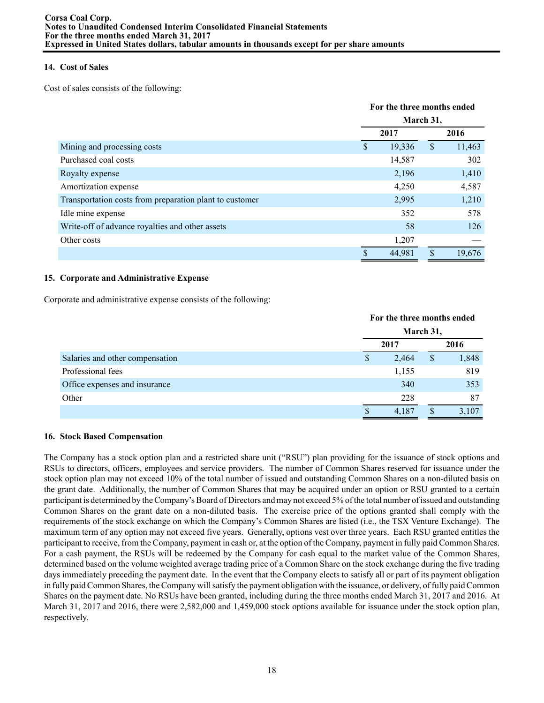## **14. Cost of Sales**

Cost of sales consists of the following:

|                                                         |    | For the three months ended |   |        |
|---------------------------------------------------------|----|----------------------------|---|--------|
|                                                         |    | March 31,                  |   |        |
|                                                         |    | 2017                       |   | 2016   |
| Mining and processing costs                             | S  | 19,336                     | S | 11,463 |
| Purchased coal costs                                    |    | 14,587                     |   | 302    |
| Royalty expense                                         |    | 2,196                      |   | 1,410  |
| Amortization expense                                    |    | 4,250                      |   | 4,587  |
| Transportation costs from preparation plant to customer |    | 2,995                      |   | 1,210  |
| Idle mine expense                                       |    | 352                        |   | 578    |
| Write-off of advance royalties and other assets         |    | 58                         |   | 126    |
| Other costs                                             |    | 1,207                      |   |        |
|                                                         | \$ | 44,981                     | S | 19,676 |

## **15. Corporate and Administrative Expense**

Corporate and administrative expense consists of the following:

|                                 | For the three months ended<br>March 31, |       |               |       |
|---------------------------------|-----------------------------------------|-------|---------------|-------|
|                                 |                                         | 2017  |               | 2016  |
| Salaries and other compensation | S                                       | 2,464 | <sup>\$</sup> | 1,848 |
| Professional fees               |                                         | 1,155 |               | 819   |
| Office expenses and insurance   |                                         | 340   |               | 353   |
| Other                           |                                         | 228   |               | 87    |
|                                 |                                         | 4,187 |               | 3,107 |

## **16. Stock Based Compensation**

The Company has a stock option plan and a restricted share unit ("RSU") plan providing for the issuance of stock options and RSUs to directors, officers, employees and service providers. The number of Common Shares reserved for issuance under the stock option plan may not exceed 10% of the total number of issued and outstanding Common Shares on a non-diluted basis on the grant date. Additionally, the number of Common Shares that may be acquired under an option or RSU granted to a certain participant is determined by the Company's Board of Directors and may not exceed 5% of the total number of issued and outstanding Common Shares on the grant date on a non-diluted basis. The exercise price of the options granted shall comply with the requirements of the stock exchange on which the Company's Common Shares are listed (i.e., the TSX Venture Exchange). The maximum term of any option may not exceed five years. Generally, options vest over three years. Each RSU granted entitles the participant to receive, from the Company, payment in cash or, at the option of the Company, payment in fully paid Common Shares. For a cash payment, the RSUs will be redeemed by the Company for cash equal to the market value of the Common Shares, determined based on the volume weighted average trading price of a Common Share on the stock exchange during the five trading days immediately preceding the payment date. In the event that the Company elects to satisfy all or part of its payment obligation in fully paid Common Shares, the Company will satisfy the payment obligation with the issuance, or delivery, of fully paid Common Shares on the payment date. No RSUs have been granted, including during the three months ended March 31, 2017 and 2016. At March 31, 2017 and 2016, there were 2,582,000 and 1,459,000 stock options available for issuance under the stock option plan, respectively.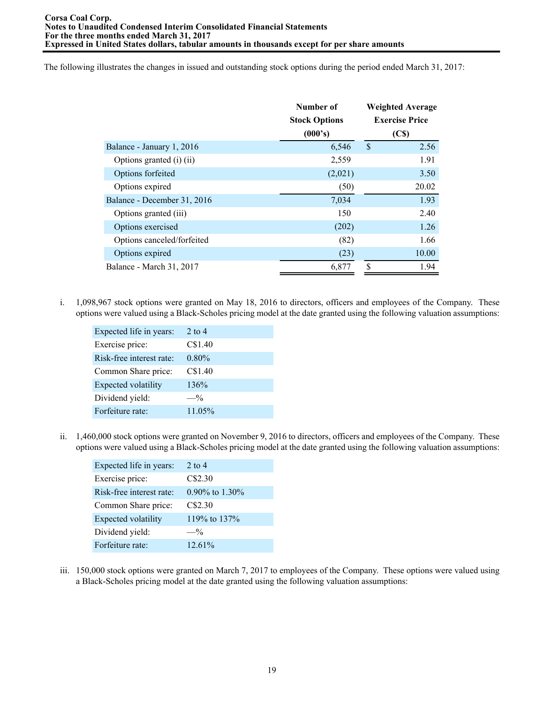The following illustrates the changes in issued and outstanding stock options during the period ended March 31, 2017:

|                             | Number of            | <b>Weighted Average</b> |
|-----------------------------|----------------------|-------------------------|
|                             | <b>Stock Options</b> | <b>Exercise Price</b>   |
|                             | (000's)              | (C <sub>s</sub> )       |
| Balance - January 1, 2016   | 6,546                | $\mathcal{S}$<br>2.56   |
| Options granted (i) (ii)    | 2,559                | 1.91                    |
| Options forfeited           | (2,021)              | 3.50                    |
| Options expired             | (50)                 | 20.02                   |
| Balance - December 31, 2016 | 7,034                | 1.93                    |
| Options granted (iii)       | 150                  | 2.40                    |
| Options exercised           | (202)                | 1.26                    |
| Options canceled/forfeited  | (82)                 | 1.66                    |
| Options expired             | (23)                 | 10.00                   |
| Balance - March 31, 2017    | 6,877                | \$<br>1.94              |

i. 1,098,967 stock options were granted on May 18, 2016 to directors, officers and employees of the Company. These options were valued using a Black-Scholes pricing model at the date granted using the following valuation assumptions:

| Expected life in years:    | 2 to 4   |
|----------------------------|----------|
| Exercise price:            | C\$1.40  |
| Risk-free interest rate:   | $0.80\%$ |
| Common Share price:        | C\$1.40  |
| <b>Expected volatility</b> | 136%     |
| Dividend yield:            | $-$ %    |
| Forfeiture rate:           | 11.05%   |
|                            |          |

ii. 1,460,000 stock options were granted on November 9, 2016 to directors, officers and employees of the Company. These options were valued using a Black-Scholes pricing model at the date granted using the following valuation assumptions:

| Expected life in years:  | $2$ to $4$        |
|--------------------------|-------------------|
| Exercise price:          | C\$2.30           |
| Risk-free interest rate: | $0.90\%$ to 1.30% |
| Common Share price:      | C\$2.30           |
| Expected volatility      | 119% to 137%      |
| Dividend yield:          | $-$ %             |
| Forfeiture rate:         | $12.61\%$         |

iii. 150,000 stock options were granted on March 7, 2017 to employees of the Company. These options were valued using a Black-Scholes pricing model at the date granted using the following valuation assumptions: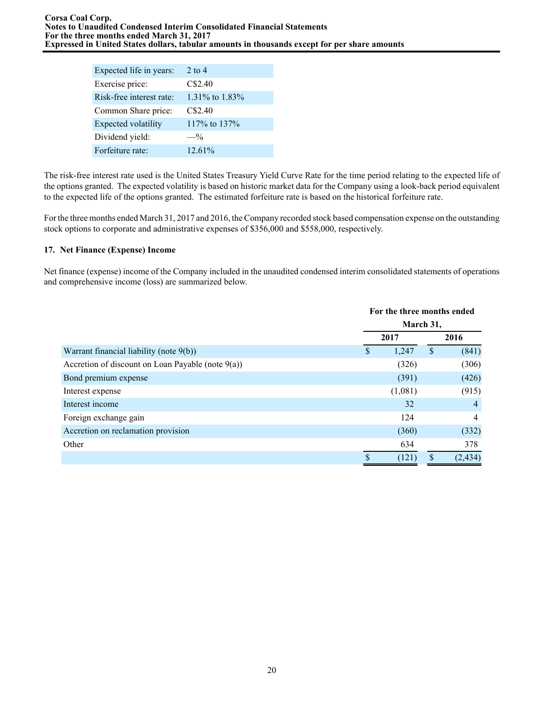| Expected life in years:    | 2 to 4         |
|----------------------------|----------------|
| Exercise price:            | C\$2.40        |
| Risk-free interest rate:   | 1.31% to 1.83% |
| Common Share price:        | C\$2.40        |
| <b>Expected volatility</b> | 117% to 137%   |
| Dividend yield:            | $-$ %          |
| Forfeiture rate:           | $12.61\%$      |

The risk-free interest rate used is the United States Treasury Yield Curve Rate for the time period relating to the expected life of the options granted. The expected volatility is based on historic market data for the Company using a look-back period equivalent to the expected life of the options granted. The estimated forfeiture rate is based on the historical forfeiture rate.

For the three months ended March 31, 2017 and 2016, the Company recorded stock based compensation expense on the outstanding stock options to corporate and administrative expenses of \$356,000 and \$558,000, respectively.

# **17. Net Finance (Expense) Income**

Net finance (expense) income of the Company included in the unaudited condensed interim consolidated statements of operations and comprehensive income (loss) are summarized below.

|                                                      |   | For the three months ended<br>March 31, |    |                |  |
|------------------------------------------------------|---|-----------------------------------------|----|----------------|--|
|                                                      |   |                                         |    |                |  |
|                                                      |   | 2017                                    |    | 2016           |  |
| Warrant financial liability (note 9(b))              | S | 1,247                                   | \$ | (841)          |  |
| Accretion of discount on Loan Payable (note $9(a)$ ) |   | (326)                                   |    | (306)          |  |
| Bond premium expense                                 |   | (391)                                   |    | (426)          |  |
| Interest expense                                     |   | (1,081)                                 |    | (915)          |  |
| Interest income                                      |   | 32                                      |    | $\overline{4}$ |  |
| Foreign exchange gain                                |   | 124                                     |    | $\overline{4}$ |  |
| Accretion on reclamation provision                   |   | (360)                                   |    | (332)          |  |
| Other                                                |   | 634                                     |    | 378            |  |
|                                                      | S | (121)                                   | \$ | (2, 434)       |  |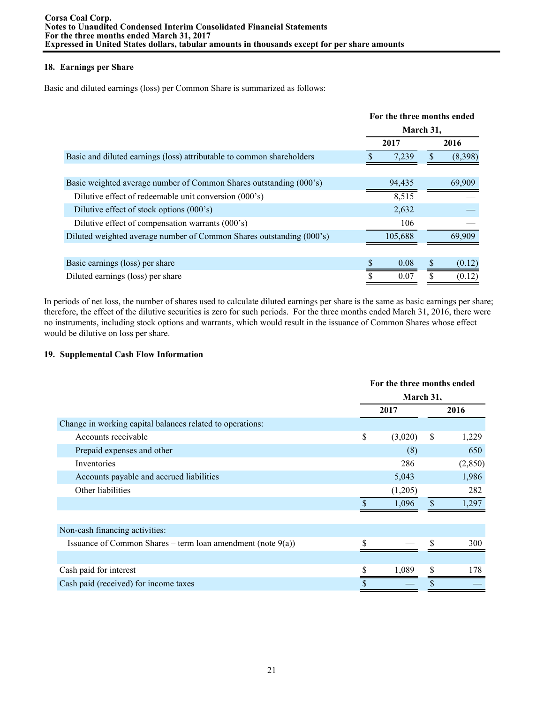# **18. Earnings per Share**

Basic and diluted earnings (loss) per Common Share is summarized as follows:

|                                                                       | For the three months ended |         |          |         |  |
|-----------------------------------------------------------------------|----------------------------|---------|----------|---------|--|
|                                                                       | March 31,                  |         |          |         |  |
|                                                                       |                            | 2017    |          | 2016    |  |
| Basic and diluted earnings (loss) attributable to common shareholders |                            | 7,239   | <b>S</b> | (8,398) |  |
|                                                                       |                            |         |          |         |  |
| Basic weighted average number of Common Shares outstanding (000's)    |                            | 94,435  |          | 69,909  |  |
| Dilutive effect of redeemable unit conversion (000's)                 |                            | 8,515   |          |         |  |
| Dilutive effect of stock options (000's)                              |                            | 2,632   |          |         |  |
| Dilutive effect of compensation warrants (000's)                      |                            | 106     |          |         |  |
| Diluted weighted average number of Common Shares outstanding (000's)  |                            | 105,688 |          | 69.909  |  |
|                                                                       |                            |         |          |         |  |
| Basic earnings (loss) per share                                       |                            | 0.08    | S        | (0.12)  |  |
| Diluted earnings (loss) per share                                     |                            | 0.07    |          | (0.12)  |  |

In periods of net loss, the number of shares used to calculate diluted earnings per share is the same as basic earnings per share; therefore, the effect of the dilutive securities is zero for such periods. For the three months ended March 31, 2016, there were no instruments, including stock options and warrants, which would result in the issuance of Common Shares whose effect would be dilutive on loss per share.

# **19. Supplemental Cash Flow Information**

|                                                                | For the three months ended |         |               |          |
|----------------------------------------------------------------|----------------------------|---------|---------------|----------|
|                                                                | March 31,                  |         |               |          |
|                                                                |                            | 2017    |               | 2016     |
| Change in working capital balances related to operations:      |                            |         |               |          |
| Accounts receivable                                            | \$                         | (3,020) | <sup>\$</sup> | 1,229    |
| Prepaid expenses and other                                     |                            | (8)     |               | 650      |
| Inventories                                                    |                            | 286     |               | (2, 850) |
| Accounts payable and accrued liabilities                       |                            | 5,043   |               | 1,986    |
| Other liabilities                                              |                            | (1,205) |               | 282      |
|                                                                |                            | 1,096   | $\mathbf{s}$  | 1,297    |
|                                                                |                            |         |               |          |
| Non-cash financing activities:                                 |                            |         |               |          |
| Issuance of Common Shares – term loan amendment (note $9(a)$ ) |                            |         | S             | 300      |
|                                                                |                            |         |               |          |
| Cash paid for interest                                         |                            | 1,089   | S             | 178      |
| Cash paid (received) for income taxes                          |                            |         |               |          |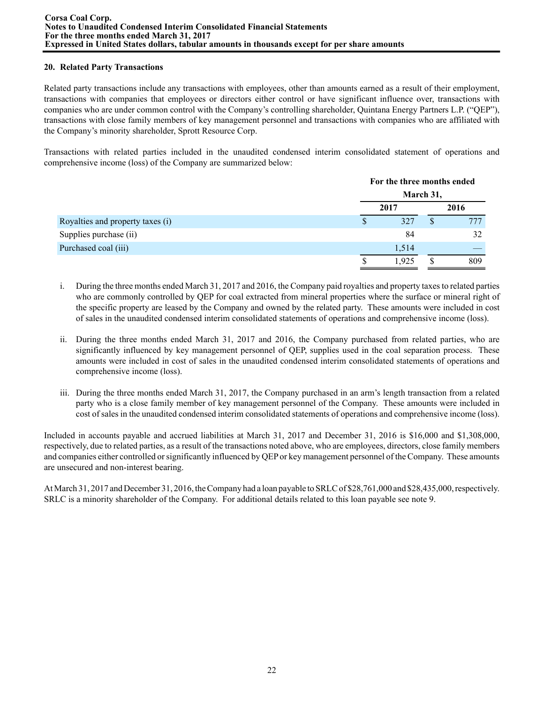## **20. Related Party Transactions**

Related party transactions include any transactions with employees, other than amounts earned as a result of their employment, transactions with companies that employees or directors either control or have significant influence over, transactions with companies who are under common control with the Company's controlling shareholder, Quintana Energy Partners L.P. ("QEP"), transactions with close family members of key management personnel and transactions with companies who are affiliated with the Company's minority shareholder, Sprott Resource Corp.

Transactions with related parties included in the unaudited condensed interim consolidated statement of operations and comprehensive income (loss) of the Company are summarized below:

|                                  | For the three months ended |   |      |  |  |
|----------------------------------|----------------------------|---|------|--|--|
|                                  | March 31,                  |   |      |  |  |
|                                  | 2017                       |   | 2016 |  |  |
| Royalties and property taxes (i) | 327                        | S | 777  |  |  |
| Supplies purchase (ii)           | 84                         |   | 32   |  |  |
| Purchased coal (iii)             | 1,514                      |   |      |  |  |
|                                  | 1.925                      |   | 809  |  |  |

- i. During the three months ended March 31, 2017 and 2016, the Company paid royalties and property taxes to related parties who are commonly controlled by QEP for coal extracted from mineral properties where the surface or mineral right of the specific property are leased by the Company and owned by the related party. These amounts were included in cost of sales in the unaudited condensed interim consolidated statements of operations and comprehensive income (loss).
- ii. During the three months ended March 31, 2017 and 2016, the Company purchased from related parties, who are significantly influenced by key management personnel of QEP, supplies used in the coal separation process. These amounts were included in cost of sales in the unaudited condensed interim consolidated statements of operations and comprehensive income (loss).
- iii. During the three months ended March 31, 2017, the Company purchased in an arm's length transaction from a related party who is a close family member of key management personnel of the Company. These amounts were included in cost of sales in the unaudited condensed interim consolidated statements of operations and comprehensive income (loss).

Included in accounts payable and accrued liabilities at March 31, 2017 and December 31, 2016 is \$16,000 and \$1,308,000, respectively, due to related parties, as a result of the transactions noted above, who are employees, directors, close family members and companies either controlled or significantly influenced by QEPor key management personnel of the Company. These amounts are unsecured and non-interest bearing.

At March 31, 2017 and December 31, 2016, the Company had a loan payable to SRLC of \$28,761,000 and \$28,435,000, respectively. SRLC is a minority shareholder of the Company. For additional details related to this loan payable see note 9.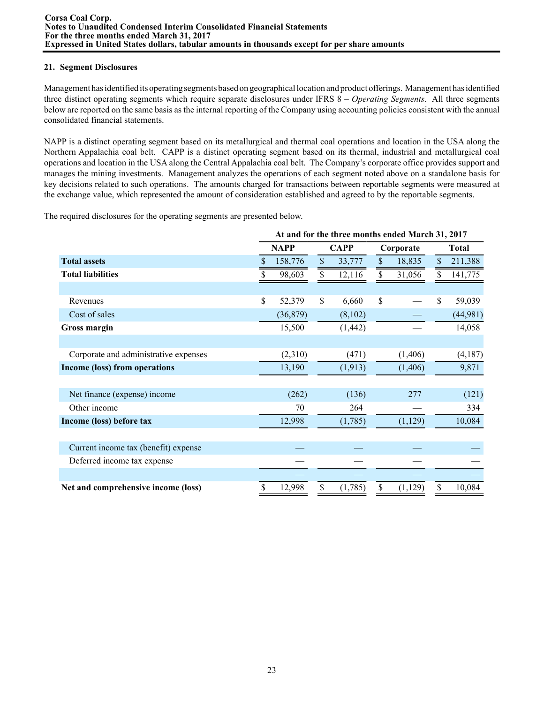## **21. Segment Disclosures**

Management has identified its operating segments based on geographical location and product offerings. Management has identified three distinct operating segments which require separate disclosures under IFRS 8 – *Operating Segments*. All three segments below are reported on the same basis as the internal reporting of the Company using accounting policies consistent with the annual consolidated financial statements.

NAPP is a distinct operating segment based on its metallurgical and thermal coal operations and location in the USA along the Northern Appalachia coal belt. CAPP is a distinct operating segment based on its thermal, industrial and metallurgical coal operations and location in the USA along the Central Appalachia coal belt. The Company's corporate office provides support and manages the mining investments. Management analyzes the operations of each segment noted above on a standalone basis for key decisions related to such operations. The amounts charged for transactions between reportable segments were measured at the exchange value, which represented the amount of consideration established and agreed to by the reportable segments.

The required disclosures for the operating segments are presented below.

|                                       | At and for the three months ended March 31, 2017 |             |             |          |           |          |               |              |
|---------------------------------------|--------------------------------------------------|-------------|-------------|----------|-----------|----------|---------------|--------------|
|                                       |                                                  | <b>NAPP</b> | <b>CAPP</b> |          | Corporate |          |               | <b>Total</b> |
| <b>Total assets</b>                   |                                                  | 158,776     | \$          | 33,777   | \$        | 18,835   | \$            | 211,388      |
| <b>Total liabilities</b>              |                                                  | 98,603      | \$          | 12,116   | \$        | 31,056   |               | 141,775      |
|                                       |                                                  |             |             |          |           |          |               |              |
| Revenues                              | \$                                               | 52,379      | \$          | 6,660    | \$        |          | $\mathsf{\$}$ | 59,039       |
| Cost of sales                         |                                                  | (36,879)    |             | (8,102)  |           |          |               | (44,981)     |
| Gross margin                          |                                                  | 15,500      |             | (1, 442) |           |          |               | 14,058       |
|                                       |                                                  |             |             |          |           |          |               |              |
| Corporate and administrative expenses |                                                  | (2,310)     |             | (471)    |           | (1,406)  |               | (4,187)      |
| Income (loss) from operations         |                                                  | 13,190      |             | (1, 913) |           | (1,406)  |               | 9,871        |
|                                       |                                                  |             |             |          |           |          |               |              |
| Net finance (expense) income          |                                                  | (262)       |             | (136)    |           | 277      |               | (121)        |
| Other income                          |                                                  | 70          |             | 264      |           |          |               | 334          |
| Income (loss) before tax              |                                                  | 12,998      |             | (1,785)  |           | (1, 129) |               | 10,084       |
|                                       |                                                  |             |             |          |           |          |               |              |
| Current income tax (benefit) expense  |                                                  |             |             |          |           |          |               |              |
| Deferred income tax expense           |                                                  |             |             |          |           |          |               |              |
|                                       |                                                  |             |             |          |           |          |               |              |
| Net and comprehensive income (loss)   | \$                                               | 12,998      | \$          | (1,785)  | \$        | (1, 129) | \$            | 10,084       |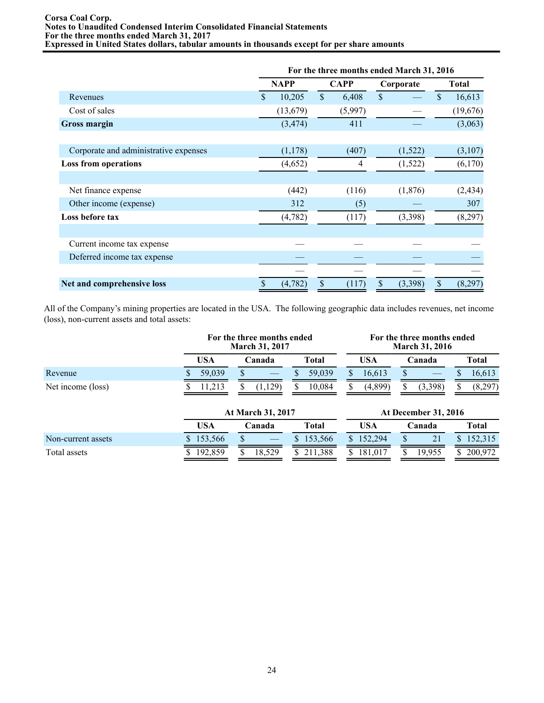#### **Corsa Coal Corp. Notes to Unaudited Condensed Interim Consolidated Financial Statements For the three months ended March 31, 2017 Expressed in United States dollars, tabular amounts in thousands except for per share amounts**

|                                       |    | For the three months ended March 31, 2016 |    |             |              |           |               |              |  |
|---------------------------------------|----|-------------------------------------------|----|-------------|--------------|-----------|---------------|--------------|--|
|                                       |    | <b>NAPP</b>                               |    | <b>CAPP</b> |              | Corporate |               | <b>Total</b> |  |
| Revenues                              | \$ | 10,205                                    | \$ | 6,408       | $\mathbb{S}$ |           | $\mathsf{\$}$ | 16,613       |  |
| Cost of sales                         |    | (13,679)                                  |    | (5,997)     |              |           |               | (19,676)     |  |
| <b>Gross margin</b>                   |    | (3, 474)                                  |    | 411         |              |           |               | (3,063)      |  |
|                                       |    |                                           |    |             |              |           |               |              |  |
| Corporate and administrative expenses |    | (1,178)                                   |    | (407)       |              | (1,522)   |               | (3,107)      |  |
| <b>Loss from operations</b>           |    | (4,652)                                   |    | 4           |              | (1,522)   |               | (6,170)      |  |
|                                       |    |                                           |    |             |              |           |               |              |  |
| Net finance expense                   |    | (442)                                     |    | (116)       |              | (1,876)   |               | (2, 434)     |  |
| Other income (expense)                |    | 312                                       |    | (5)         |              |           |               | 307          |  |
| Loss before tax                       |    | (4,782)                                   |    | (117)       |              | (3,398)   |               | (8,297)      |  |
|                                       |    |                                           |    |             |              |           |               |              |  |
| Current income tax expense            |    |                                           |    |             |              |           |               |              |  |
| Deferred income tax expense           |    |                                           |    |             |              |           |               |              |  |
|                                       |    |                                           |    |             |              |           |               |              |  |
| Net and comprehensive loss            | \$ | (4,782)                                   | \$ | (117)       | \$           | (3,398)   | \$            | (8,297)      |  |

All of the Company's mining properties are located in the USA. The following geographic data includes revenues, net income (loss), non-current assets and total assets:

|                    |            | For the three months ended<br><b>March 31, 2017</b> |               | For the three months ended<br><b>March 31, 2016</b> |                             |               |  |  |
|--------------------|------------|-----------------------------------------------------|---------------|-----------------------------------------------------|-----------------------------|---------------|--|--|
|                    | <b>USA</b> | Canada                                              | <b>Total</b>  | <b>USA</b>                                          | Canada                      | <b>Total</b>  |  |  |
| Revenue            | 59,039     |                                                     | 59,039        | 16,613<br>S                                         | S                           | 16,613        |  |  |
| Net income (loss)  | 11.213     | (1, 129)                                            | 10.084        | (4,899)<br>S                                        | (3,398)<br>S                | (8,297)<br>S  |  |  |
|                    |            | At March 31, 2017                                   |               |                                                     | <b>At December 31, 2016</b> |               |  |  |
|                    | <b>USA</b> | Canada                                              | <b>Total</b>  | <b>USA</b>                                          | Canada                      | <b>Total</b>  |  |  |
| Non-current assets | 153,566    |                                                     | 153,566<br>S. | 152,294<br>\$.                                      | 21                          | 152,315       |  |  |
| Total assets       | 192,859    | 18,529                                              | 211,388<br>S. | 181,017<br>S                                        | 19,955                      | 200,972<br>S. |  |  |